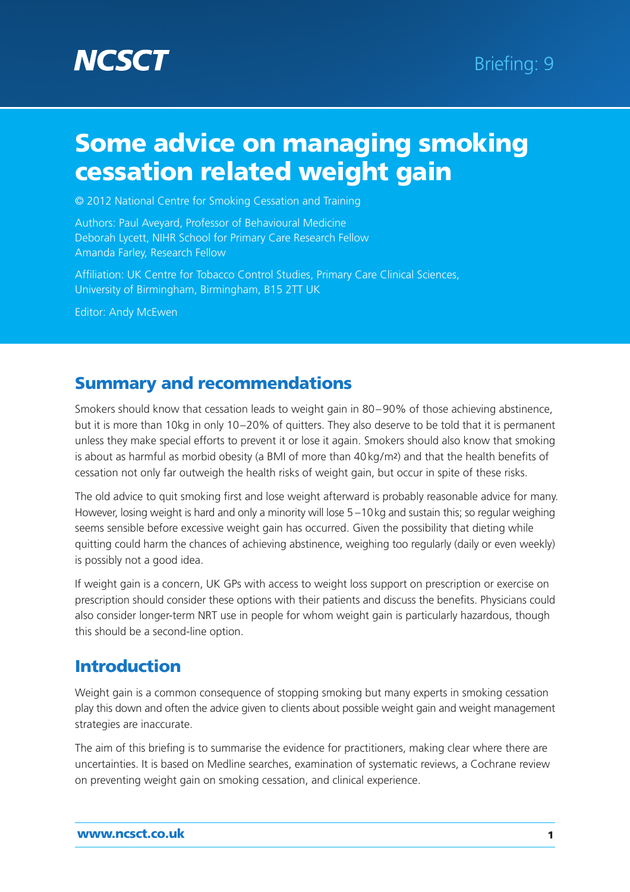

© 2012 National Centre for Smoking Cessation and Training

Authors: Paul Aveyard, Professor of Behavioural Medicine Deborah Lycett, NIHR School for Primary Care Research Fellow Amanda Farley, Research Fellow

Affiliation: UK Centre for Tobacco Control Studies, Primary Care Clinical Sciences, University of Birmingham, Birmingham, B15 2TT UK

Editor: Andy McEwen

### **Summary and recommendations**

Smokers should know that cessation leads to weight gain in 80–90% of those achieving abstinence, but it is more than 10kg in only 10–20% of quitters. They also deserve to be told that it is permanent unless they make special efforts to prevent it or lose it again. Smokers should also know that smoking is about as harmful as morbid obesity (a BMI of more than 40kg/m2) and that the health benefits of cessation not only far outweigh the health risks of weight gain, but occur in spite of these risks.

The old advice to quit smoking first and lose weight afterward is probably reasonable advice for many. However, losing weight is hard and only a minority will lose 5 –10kg and sustain this; so regular weighing seems sensible before excessive weight gain has occurred. Given the possibility that dieting while quitting could harm the chances of achieving abstinence, weighing too regularly (daily or even weekly) is possibly not a good idea.

If weight gain is a concern, UK GPs with access to weight loss support on prescription or exercise on prescription should consider these options with their patients and discuss the benefits. Physicians could also consider longer-term NRT use in people for whom weight gain is particularly hazardous, though this should be a second-line option.

### **Introduction**

Weight gain is a common consequence of stopping smoking but many experts in smoking cessation play this down and often the advice given to clients about possible weight gain and weight management strategies are inaccurate.

The aim of this briefing is to summarise the evidence for practitioners, making clear where there are uncertainties. It is based on Medline searches, examination of systematic reviews, a Cochrane review on preventing weight gain on smoking cessation, and clinical experience.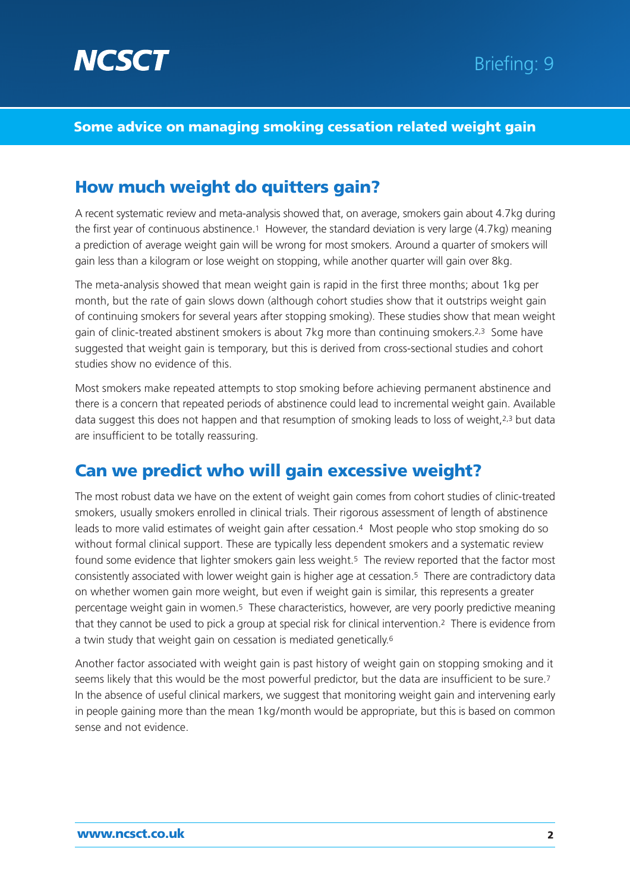

# **How much weight do quitters gain?**

A recent systematic review and meta-analysis showed that, on average, smokers gain about 4.7kg during the first year of continuous abstinence.1 However, the standard deviation is very large (4.7kg) meaning a prediction of average weight gain will be wrong for most smokers. Around a quarter of smokers will gain less than a kilogram or lose weight on stopping, while another quarter will gain over 8kg.

The meta-analysis showed that mean weight gain is rapid in the first three months; about 1kg per month, but the rate of gain slows down (although cohort studies show that it outstrips weight gain of continuing smokers for several years after stopping smoking). These studies show that mean weight gain of clinic-treated abstinent smokers is about 7kg more than continuing smokers.2,3 Some have suggested that weight gain is temporary, but this is derived from cross-sectional studies and cohort studies show no evidence of this.

Most smokers make repeated attempts to stop smoking before achieving permanent abstinence and there is a concern that repeated periods of abstinence could lead to incremental weight gain. Available data suggest this does not happen and that resumption of smoking leads to loss of weight, 2,3 but data are insufficient to be totally reassuring.

### **Can we predict who will gain excessive weight?**

The most robust data we have on the extent of weight gain comes from cohort studies of clinic-treated smokers, usually smokers enrolled in clinical trials. Their rigorous assessment of length of abstinence leads to more valid estimates of weight gain after cessation.4 Most people who stop smoking do so without formal clinical support. These are typically less dependent smokers and a systematic review found some evidence that lighter smokers gain less weight.5 The review reported that the factor most consistently associated with lower weight gain is higher age at cessation.5 There are contradictory data on whether women gain more weight, but even if weight gain is similar, this represents a greater percentage weight gain in women.<sup>5</sup> These characteristics, however, are very poorly predictive meaning that they cannot be used to pick a group at special risk for clinical intervention.2 There is evidence from a twin study that weight gain on cessation is mediated genetically.6

Another factor associated with weight gain is past history of weight gain on stopping smoking and it seems likely that this would be the most powerful predictor, but the data are insufficient to be sure.7 In the absence of useful clinical markers, we suggest that monitoring weight gain and intervening early in people gaining more than the mean 1kg/month would be appropriate, but this is based on common sense and not evidence.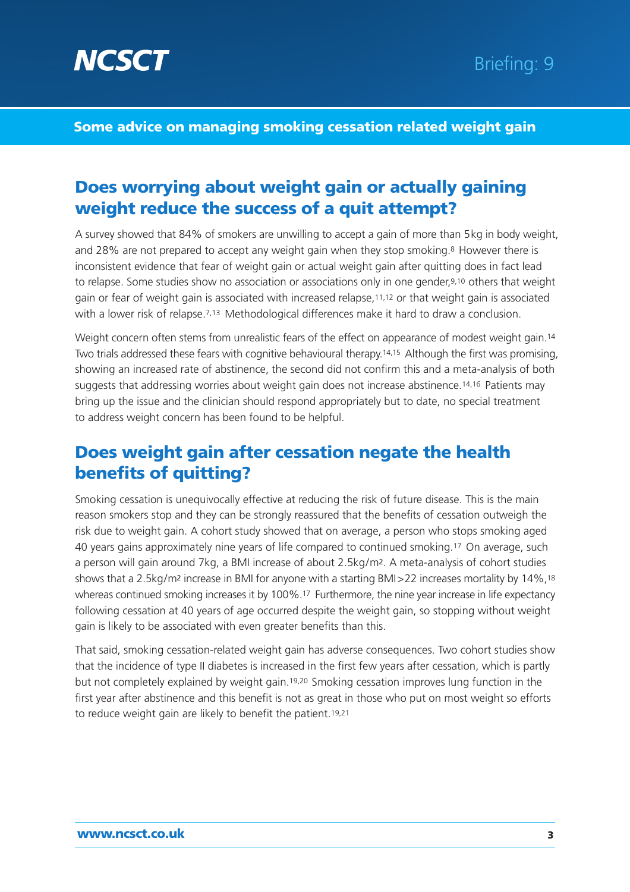

# **Does worrying about weight gain or actually gaining weight reduce the success of a quit attempt?**

A survey showed that 84% of smokers are unwilling to accept a gain of more than 5kg in body weight, and 28% are not prepared to accept any weight gain when they stop smoking.<sup>8</sup> However there is inconsistent evidence that fear of weight gain or actual weight gain after quitting does in fact lead to relapse. Some studies show no association or associations only in one gender,9,10 others that weight gain or fear of weight gain is associated with increased relapse,11,12 or that weight gain is associated with a lower risk of relapse.<sup>7,13</sup> Methodological differences make it hard to draw a conclusion.

Weight concern often stems from unrealistic fears of the effect on appearance of modest weight gain.14 Two trials addressed these fears with cognitive behavioural therapy.14,15 Although the first was promising, showing an increased rate of abstinence, the second did not confirm this and a meta-analysis of both suggests that addressing worries about weight gain does not increase abstinence.14,16 Patients may bring up the issue and the clinician should respond appropriately but to date, no special treatment to address weight concern has been found to be helpful.

## **Does weight gain after cessation negate the health benefits of quitting?**

Smoking cessation is unequivocally effective at reducing the risk of future disease. This is the main reason smokers stop and they can be strongly reassured that the benefits of cessation outweigh the risk due to weight gain. A cohort study showed that on average, a person who stops smoking aged 40 years gains approximately nine years of life compared to continued smoking.17 On average, such a person will gain around 7kg, a BMI increase of about 2.5kg/m2. A meta-analysis of cohort studies shows that a 2.5kg/m2 increase in BMI for anyone with a starting BMI>22 increases mortality by 14%,18 whereas continued smoking increases it by 100%.17 Furthermore, the nine year increase in life expectancy following cessation at 40 years of age occurred despite the weight gain, so stopping without weight gain is likely to be associated with even greater benefits than this.

That said, smoking cessation-related weight gain has adverse consequences. Two cohort studies show that the incidence of type II diabetes is increased in the first few years after cessation, which is partly but not completely explained by weight gain.19,20 Smoking cessation improves lung function in the first year after abstinence and this benefit is not as great in those who put on most weight so efforts to reduce weight gain are likely to benefit the patient.19,21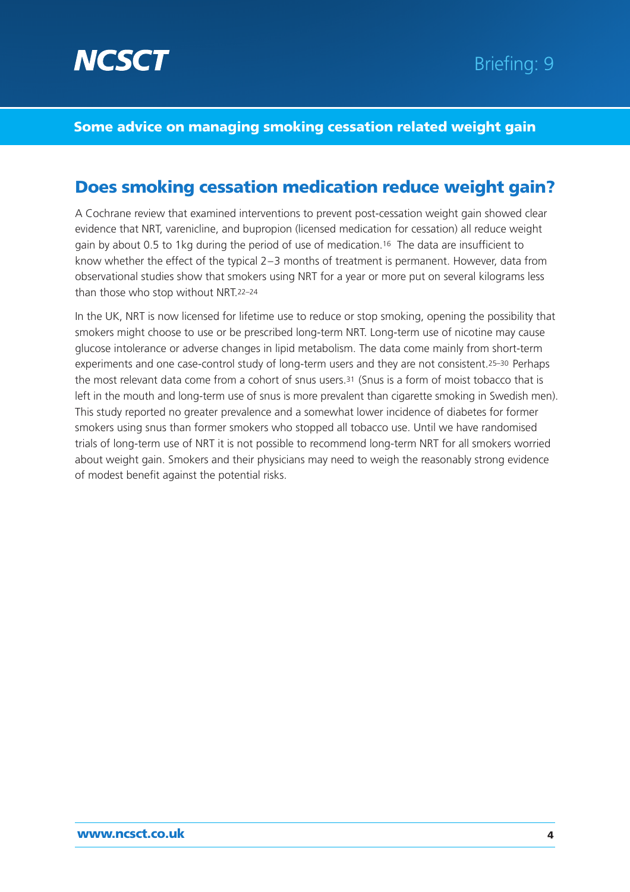

### **Does smoking cessation medication reduce weight gain?**

A Cochrane review that examined interventions to prevent post-cessation weight gain showed clear evidence that NRT, varenicline, and bupropion (licensed medication for cessation) all reduce weight gain by about 0.5 to 1kg during the period of use of medication.16 The data are insufficient to know whether the effect of the typical 2–3 months of treatment is permanent. However, data from observational studies show that smokers using NRT for a year or more put on several kilograms less than those who stop without NRT.22–24

In the UK, NRT is now licensed for lifetime use to reduce or stop smoking, opening the possibility that smokers might choose to use or be prescribed long-term NRT. Long-term use of nicotine may cause glucose intolerance or adverse changes in lipid metabolism. The data come mainly from short-term experiments and one case-control study of long-term users and they are not consistent.<sup>25-30</sup> Perhaps the most relevant data come from a cohort of snus users.31 (Snus is a form of moist tobacco that is left in the mouth and long-term use of snus is more prevalent than cigarette smoking in Swedish men). This study reported no greater prevalence and a somewhat lower incidence of diabetes for former smokers using snus than former smokers who stopped all tobacco use. Until we have randomised trials of long-term use of NRT it is not possible to recommend long-term NRT for all smokers worried about weight gain. Smokers and their physicians may need to weigh the reasonably strong evidence of modest benefit against the potential risks.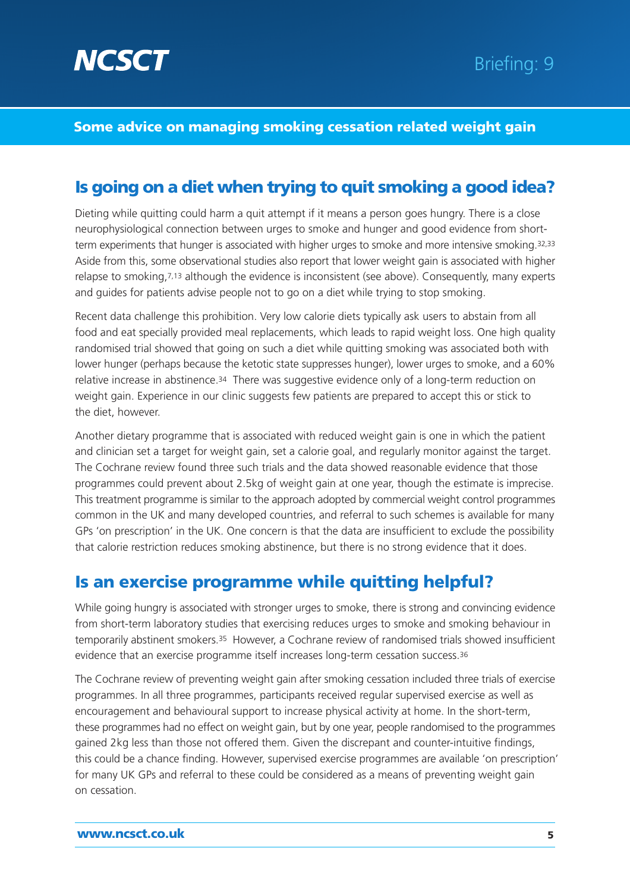

# **Is going on a diet when trying to quit smoking a good idea?**

Dieting while quitting could harm a quit attempt if it means a person goes hungry. There is a close neurophysiological connection between urges to smoke and hunger and good evidence from shortterm experiments that hunger is associated with higher urges to smoke and more intensive smoking.32,33 Aside from this, some observational studies also report that lower weight gain is associated with higher relapse to smoking,7,13 although the evidence is inconsistent (see above). Consequently, many experts and guides for patients advise people not to go on a diet while trying to stop smoking.

Recent data challenge this prohibition. Very low calorie diets typically ask users to abstain from all food and eat specially provided meal replacements, which leads to rapid weight loss. One high quality randomised trial showed that going on such a diet while quitting smoking was associated both with lower hunger (perhaps because the ketotic state suppresses hunger), lower urges to smoke, and a 60% relative increase in abstinence.<sup>34</sup> There was suggestive evidence only of a long-term reduction on weight gain. Experience in our clinic suggests few patients are prepared to accept this or stick to the diet, however.

Another dietary programme that is associated with reduced weight gain is one in which the patient and clinician set a target for weight gain, set a calorie goal, and regularly monitor against the target. The Cochrane review found three such trials and the data showed reasonable evidence that those programmes could prevent about 2.5kg of weight gain at one year, though the estimate is imprecise. This treatment programme is similar to the approach adopted by commercial weight control programmes common in the UK and many developed countries, and referral to such schemes is available for many GPs 'on prescription' in the UK. One concern is that the data are insufficient to exclude the possibility that calorie restriction reduces smoking abstinence, but there is no strong evidence that it does.

### **Is an exercise programme while quitting helpful?**

While going hungry is associated with stronger urges to smoke, there is strong and convincing evidence from short-term laboratory studies that exercising reduces urges to smoke and smoking behaviour in temporarily abstinent smokers.35 However, a Cochrane review of randomised trials showed insufficient evidence that an exercise programme itself increases long-term cessation success.36

The Cochrane review of preventing weight gain after smoking cessation included three trials of exercise programmes. In all three programmes, participants received regular supervised exercise as well as encouragement and behavioural support to increase physical activity at home. In the short-term, these programmes had no effect on weight gain, but by one year, people randomised to the programmes gained 2kg less than those not offered them. Given the discrepant and counter-intuitive findings, this could be a chance finding. However, supervised exercise programmes are available 'on prescription' for many UK GPs and referral to these could be considered as a means of preventing weight gain on cessation.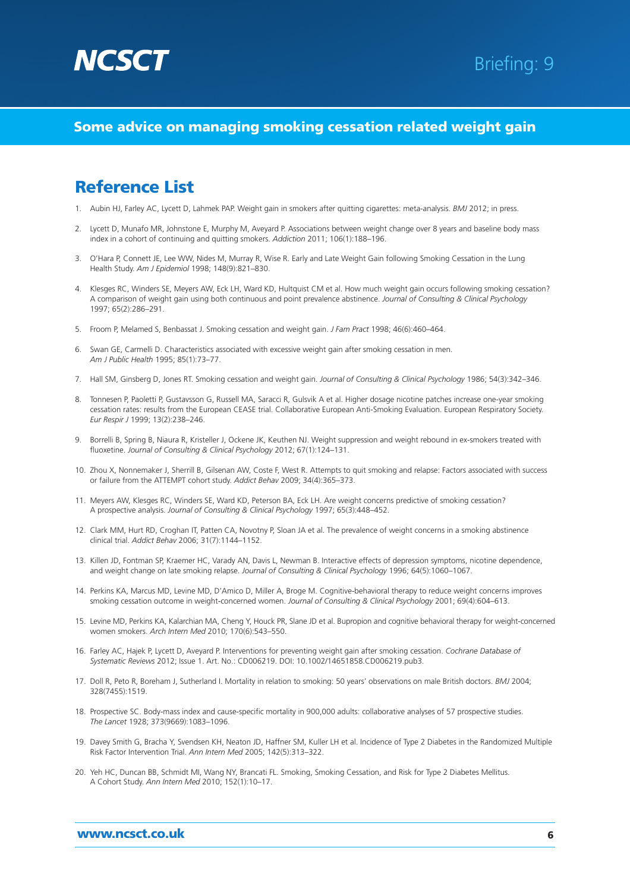

### **Reference List**

- 1. Aubin HJ, Farley AC, Lycett D, Lahmek PAP. Weight gain in smokers after quitting cigarettes: meta-analysis. *BMJ* 2012; in press.
- 2. Lycett D, Munafo MR, Johnstone E, Murphy M, Aveyard P. Associations between weight change over 8 years and baseline body mass index in a cohort of continuing and quitting smokers. *Addiction* 2011; 106(1):188–196.
- 3. O'Hara P, Connett JE, Lee WW, Nides M, Murray R, Wise R. Early and Late Weight Gain following Smoking Cessation in the Lung Health Study. *Am J Epidemiol* 1998; 148(9):821–830.
- 4. Klesges RC, Winders SE, Meyers AW, Eck LH, Ward KD, Hultquist CM et al. How much weight gain occurs following smoking cessation? A comparison of weight gain using both continuous and point prevalence abstinence. *Journal of Consulting & Clinical Psychology* 1997; 65(2):286–291.
- 5. Froom P, Melamed S, Benbassat J. Smoking cessation and weight gain. *J Fam Pract* 1998; 46(6):460–464.
- 6. Swan GE, Carmelli D. Characteristics associated with excessive weight gain after smoking cessation in men. *Am J Public Health* 1995; 85(1):73–77.
- 7. Hall SM, Ginsberg D, Jones RT. Smoking cessation and weight gain. *Journal of Consulting & Clinical Psychology* 1986; 54(3):342–346.
- 8. Tonnesen P, Paoletti P, Gustavsson G, Russell MA, Saracci R, Gulsvik A et al. Higher dosage nicotine patches increase one-year smoking cessation rates: results from the European CEASE trial. Collaborative European Anti-Smoking Evaluation. European Respiratory Society. *Eur Respir J* 1999; 13(2):238–246.
- 9. Borrelli B, Spring B, Niaura R, Kristeller J, Ockene JK, Keuthen NJ. Weight suppression and weight rebound in ex-smokers treated with fluoxetine. *Journal of Consulting & Clinical Psychology* 2012; 67(1):124–131.
- 10. Zhou X, Nonnemaker J, Sherrill B, Gilsenan AW, Coste F, West R. Attempts to quit smoking and relapse: Factors associated with success or failure from the ATTEMPT cohort study. *Addict Behav* 2009; 34(4):365–373.
- 11. Meyers AW, Klesges RC, Winders SE, Ward KD, Peterson BA, Eck LH. Are weight concerns predictive of smoking cessation? A prospective analysis. *Journal of Consulting & Clinical Psychology* 1997; 65(3):448–452.
- 12. Clark MM, Hurt RD, Croghan IT, Patten CA, Novotny P, Sloan JA et al. The prevalence of weight concerns in a smoking abstinence clinical trial. *Addict Behav* 2006; 31(7):1144–1152.
- 13. Killen JD, Fontman SP, Kraemer HC, Varady AN, Davis L, Newman B. Interactive effects of depression symptoms, nicotine dependence, and weight change on late smoking relapse. *Journal of Consulting & Clinical Psychology* 1996; 64(5):1060–1067.
- 14. Perkins KA, Marcus MD, Levine MD, D'Amico D, Miller A, Broge M. Cognitive-behavioral therapy to reduce weight concerns improves smoking cessation outcome in weight-concerned women. *Journal of Consulting & Clinical Psychology* 2001; 69(4):604–613.
- 15. Levine MD, Perkins KA, Kalarchian MA, Cheng Y, Houck PR, Slane JD et al. Bupropion and cognitive behavioral therapy for weight-concerned women smokers. *Arch Intern Med* 2010; 170(6):543–550.
- 16. Farley AC, Hajek P, Lycett D, Aveyard P. Interventions for preventing weight gain after smoking cessation. *Cochrane Database of Systematic Reviews* 2012; Issue 1. Art. No.: CD006219. DOI: 10.1002/14651858.CD006219.pub3.
- 17. Doll R, Peto R, Boreham J, Sutherland I. Mortality in relation to smoking: 50 years' observations on male British doctors. *BMJ* 2004; 328(7455):1519.
- 18. Prospective SC. Body-mass index and cause-specific mortality in 900,000 adults: collaborative analyses of 57 prospective studies. *The Lancet* 1928; 373(9669):1083–1096.
- 19. Davey Smith G, Bracha Y, Svendsen KH, Neaton JD, Haffner SM, Kuller LH et al. Incidence of Type 2 Diabetes in the Randomized Multiple Risk Factor Intervention Trial. *Ann Intern Med* 2005; 142(5):313–322.
- 20. Yeh HC, Duncan BB, Schmidt MI, Wang NY, Brancati FL. Smoking, Smoking Cessation, and Risk for Type 2 Diabetes Mellitus. A Cohort Study. *Ann Intern Med* 2010; 152(1):10–17.